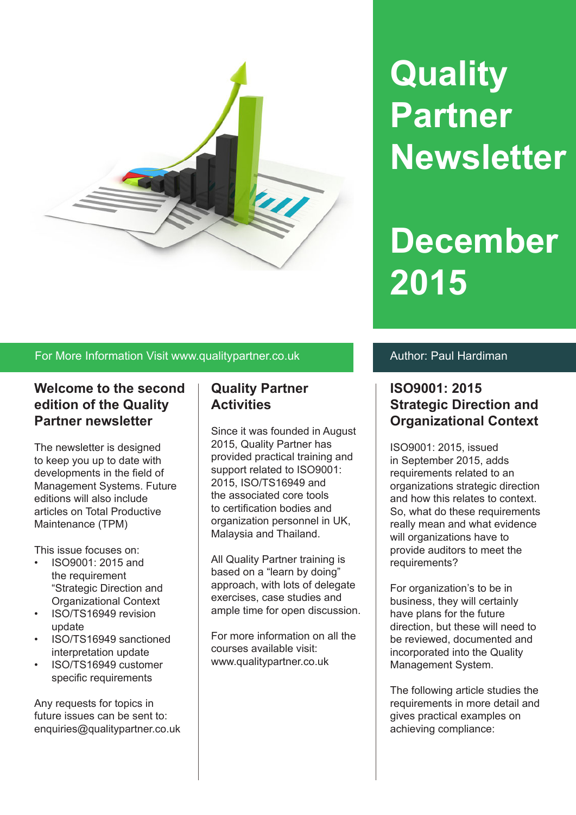

# **Quality Partner Newsletter**

# **December 2015**

### For More Information Visit www.qualitypartner.co.uk Author: Paul Hardiman

## **Welcome to the second edition of the Quality Partner newsletter**

The newsletter is designed to keep you up to date with developments in the field of Management Systems. Future editions will also include articles on Total Productive Maintenance (TPM)

This issue focuses on:

- ISO9001: 2015 and the requirement "Strategic Direction and Organizational Context
- ISO/TS16949 revision update
- ISO/TS16949 sanctioned interpretation update
- ISO/TS16949 customer specific requirements

Any requests for topics in future issues can be sent to: enquiries@qualitypartner.co.uk

# **Quality Partner Activities**

Since it was founded in August 2015, Quality Partner has provided practical training and support related to ISO9001: 2015, ISO/TS16949 and the associated core tools to certification bodies and organization personnel in UK, Malaysia and Thailand.

All Quality Partner training is based on a "learn by doing" approach, with lots of delegate exercises, case studies and ample time for open discussion.

For more information on all the courses available visit: www.qualitypartner.co.uk

# **ISO9001: 2015 Strategic Direction and Organizational Context**

ISO9001: 2015, issued in September 2015, adds requirements related to an organizations strategic direction and how this relates to context. So, what do these requirements really mean and what evidence will organizations have to provide auditors to meet the requirements?

For organization's to be in business, they will certainly have plans for the future direction, but these will need to be reviewed, documented and incorporated into the Quality Management System.

The following article studies the requirements in more detail and gives practical examples on achieving compliance: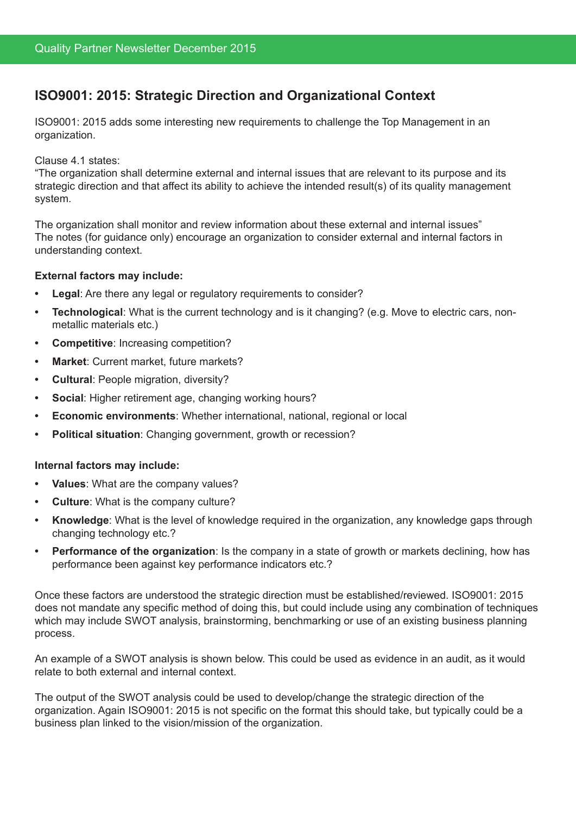# **ISO9001: 2015: Strategic Direction and Organizational Context**

ISO9001: 2015 adds some interesting new requirements to challenge the Top Management in an organization.

Clause 4.1 states:

"The organization shall determine external and internal issues that are relevant to its purpose and its strategic direction and that affect its ability to achieve the intended result(s) of its quality management system.

The organization shall monitor and review information about these external and internal issues" The notes (for guidance only) encourage an organization to consider external and internal factors in understanding context.

#### **External factors may include:**

- **Legal:** Are there any legal or regulatory requirements to consider?
- **Technological:** What is the current technology and is it changing? (e.g. Move to electric cars, nonmetallic materials etc.)
- **Competitive:** Increasing competition?
- **Market:** Current market, future markets?
- **Cultural: People migration, diversity?**
- **• Social**: Higher retirement age, changing working hours?
- **Economic environments:** Whether international, national, regional or local
- **Political situation:** Changing government, growth or recession?

#### **Internal factors may include:**

- **Values:** What are the company values?
- **Culture:** What is the company culture?
- **Knowledge:** What is the level of knowledge required in the organization, any knowledge gaps through changing technology etc.?
- **Performance of the organization**: Is the company in a state of growth or markets declining, how has performance been against key performance indicators etc.?

Once these factors are understood the strategic direction must be established/reviewed. ISO9001: 2015 does not mandate any specific method of doing this, but could include using any combination of techniques which may include SWOT analysis, brainstorming, benchmarking or use of an existing business planning process.

An example of a SWOT analysis is shown below. This could be used as evidence in an audit, as it would relate to both external and internal context.

The output of the SWOT analysis could be used to develop/change the strategic direction of the organization. Again ISO9001: 2015 is not specific on the format this should take, but typically could be a business plan linked to the vision/mission of the organization.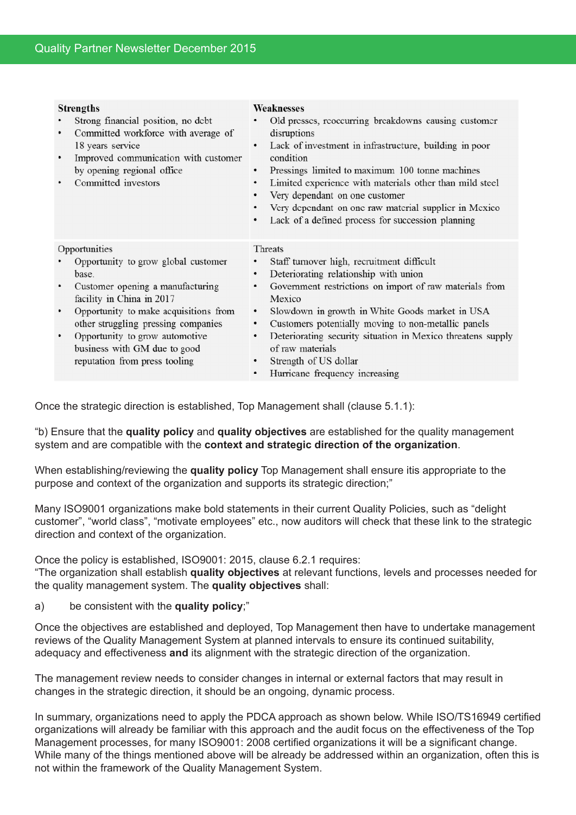|               | <b>Strengths</b><br>Strong financial position, no debt<br>Committed workforce with average of<br>18 years service<br>Improved communication with customer<br>by opening regional office<br>Committed investors | Weaknesses<br>Old presses, reoccurring breakdowns causing customer<br>disruptions<br>Lack of investment in infrastructure, building in poor<br>condition<br>Pressings limited to maximum 100 tonne machines<br>٠<br>Limited experience with materials other than mild steel<br>٠<br>Very dependant on one customer |
|---------------|----------------------------------------------------------------------------------------------------------------------------------------------------------------------------------------------------------------|--------------------------------------------------------------------------------------------------------------------------------------------------------------------------------------------------------------------------------------------------------------------------------------------------------------------|
|               |                                                                                                                                                                                                                | Very dependant on one raw material supplier in Mexico<br>Lack of a defined process for succession planning                                                                                                                                                                                                         |
| Opportunities |                                                                                                                                                                                                                | Threats                                                                                                                                                                                                                                                                                                            |
|               | Opportunity to grow global customer                                                                                                                                                                            | Staff turnover high, recruitment difficult                                                                                                                                                                                                                                                                         |
|               | base.                                                                                                                                                                                                          | Deteriorating relationship with union<br>٠                                                                                                                                                                                                                                                                         |
|               | Customer opening a manufacturing<br>facility in China in 2017                                                                                                                                                  | Government restrictions on import of raw materials from<br>٠<br>Mexico                                                                                                                                                                                                                                             |
|               | Opportunity to make acquisitions from                                                                                                                                                                          | Slowdown in growth in White Goods market in USA<br>٠<br>٠                                                                                                                                                                                                                                                          |
|               | other struggling pressing companies<br>Opportunity to grow automotive<br>business with GM due to good<br>reputation from press tooling                                                                         | Customers potentially moving to non-metallic panels<br>Deteriorating security situation in Mexico threatens supply<br>٠<br>of raw materials<br>Strength of US dollar<br>٠<br>Hurricane frequency increasing<br>٠                                                                                                   |

Once the strategic direction is established, Top Management shall (clause 5.1.1):

"b) Ensure that the **quality policy** and **quality objectives** are established for the quality management system and are compatible with the **context and strategic direction of the organization**.

When establishing/reviewing the **quality policy** Top Management shall ensure itis appropriate to the purpose and context of the organization and supports its strategic direction;"

Many ISO9001 organizations make bold statements in their current Quality Policies, such as "delight customer", "world class", "motivate employees" etc., now auditors will check that these link to the strategic direction and context of the organization.

Once the policy is established, ISO9001: 2015, clause 6.2.1 requires:

"The organization shall establish **quality objectives** at relevant functions, levels and processes needed for the quality management system. The **quality objectives** shall:

a) be consistent with the **quality policy**;"

Once the objectives are established and deployed, Top Management then have to undertake management reviews of the Quality Management System at planned intervals to ensure its continued suitability, adequacy and effectiveness **and** its alignment with the strategic direction of the organization.

The management review needs to consider changes in internal or external factors that may result in changes in the strategic direction, it should be an ongoing, dynamic process.

In summary, organizations need to apply the PDCA approach as shown below. While ISO/TS16949 certified organizations will already be familiar with this approach and the audit focus on the effectiveness of the Top Management processes, for many ISO9001: 2008 certified organizations it will be a significant change. While many of the things mentioned above will be already be addressed within an organization, often this is not within the framework of the Quality Management System.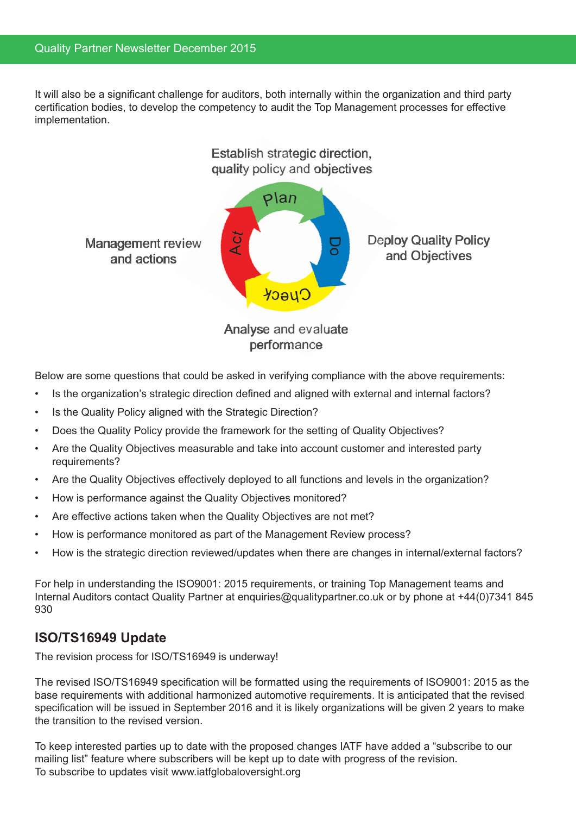It will also be a significant challenge for auditors, both internally within the organization and third party certification bodies, to develop the competency to audit the Top Management processes for effective implementation.



Below are some questions that could be asked in verifying compliance with the above requirements:

- Is the organization's strategic direction defined and aligned with external and internal factors?
- Is the Quality Policy aligned with the Strategic Direction?
- Does the Quality Policy provide the framework for the setting of Quality Objectives?
- Are the Quality Objectives measurable and take into account customer and interested party requirements?
- Are the Quality Objectives effectively deployed to all functions and levels in the organization?
- How is performance against the Quality Objectives monitored?
- Are effective actions taken when the Quality Objectives are not met?
- How is performance monitored as part of the Management Review process?
- How is the strategic direction reviewed/updates when there are changes in internal/external factors?

For help in understanding the ISO9001: 2015 requirements, or training Top Management teams and Internal Auditors contact Quality Partner at enquiries@qualitypartner.co.uk or by phone at +44(0)7341 845 930

## **ISO/TS16949 Update**

The revision process for ISO/TS16949 is underway!

The revised ISO/TS16949 specification will be formatted using the requirements of ISO9001: 2015 as the base requirements with additional harmonized automotive requirements. It is anticipated that the revised specification will be issued in September 2016 and it is likely organizations will be given 2 years to make the transition to the revised version.

To keep interested parties up to date with the proposed changes IATF have added a "subscribe to our mailing list" feature where subscribers will be kept up to date with progress of the revision. To subscribe to updates visit www.iatfglobaloversight.org